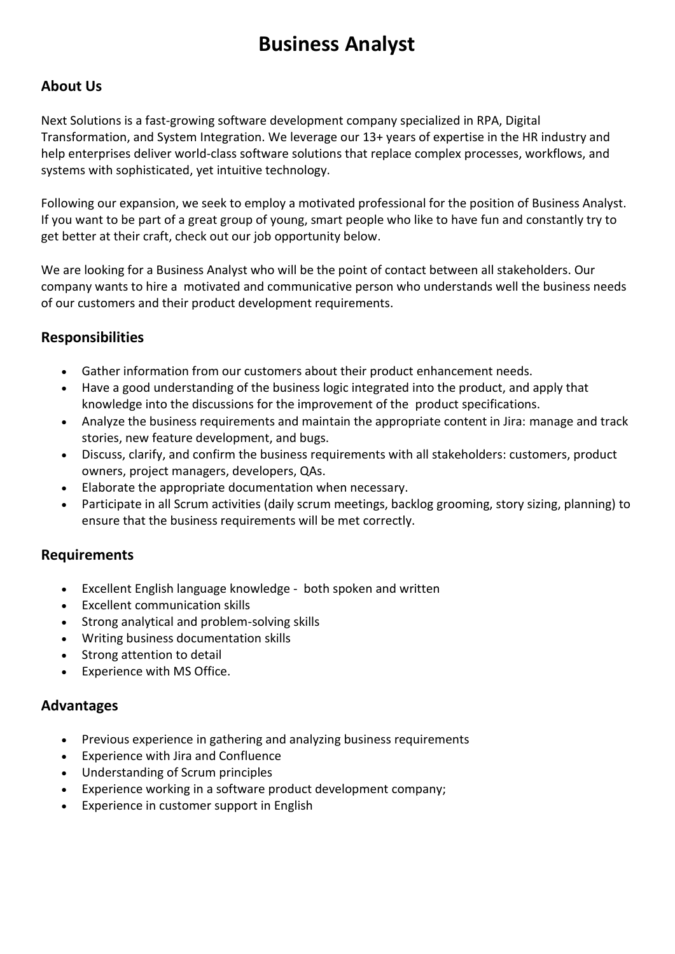# **Business Analyst**

## **About Us**

Next Solutions is a fast-growing software development company specialized in RPA, Digital Transformation, and System Integration. We leverage our 13+ years of expertise in the HR industry and help enterprises deliver world-class software solutions that replace complex processes, workflows, and systems with sophisticated, yet intuitive technology.

Following our expansion, we seek to employ a motivated professional for the position of Business Analyst. If you want to be part of a great group of young, smart people who like to have fun and constantly try to get better at their craft, check out our job opportunity below.

We are looking for a Business Analyst who will be the point of contact between all stakeholders. Our company wants to hire a motivated and communicative person who understands well the business needs of our customers and their product development requirements.

## **Responsibilities**

- Gather information from our customers about their product enhancement needs.
- Have a good understanding of the business logic integrated into the product, and apply that knowledge into the discussions for the improvement of the product specifications.
- Analyze the business requirements and maintain the appropriate content in Jira: manage and track stories, new feature development, and bugs.
- Discuss, clarify, and confirm the business requirements with all stakeholders: customers, product owners, project managers, developers, QAs.
- Elaborate the appropriate documentation when necessary.
- Participate in all Scrum activities (daily scrum meetings, backlog grooming, story sizing, planning) to ensure that the business requirements will be met correctly.

## **Requirements**

- Excellent English language knowledge both spoken and written
- Excellent communication skills
- Strong analytical and problem-solving skills
- Writing business documentation skills
- Strong attention to detail
- Experience with MS Office.

#### **Advantages**

- Previous experience in gathering and analyzing business requirements
- Experience with Jira and Confluence
- Understanding of Scrum principles
- Experience working in a software product development company;
- Experience in customer support in English